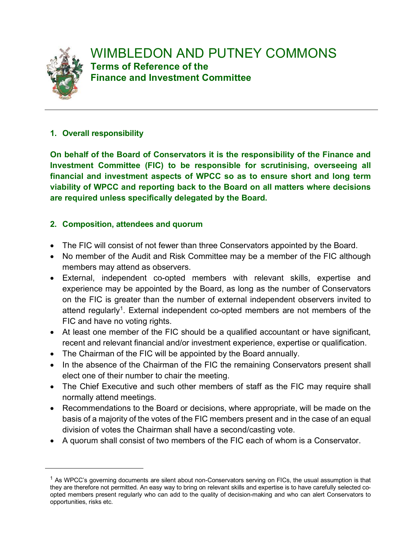

# **1. Overall responsibility**

**On behalf of the Board of Conservators it is the responsibility of the Finance and Investment Committee (FIC) to be responsible for scrutinising, overseeing all financial and investment aspects of WPCC so as to ensure short and long term viability of WPCC and reporting back to the Board on all matters where decisions are required unless specifically delegated by the Board.**

# **2. Composition, attendees and quorum**

- The FIC will consist of not fewer than three Conservators appointed by the Board.
- No member of the Audit and Risk Committee may be a member of the FIC although members may attend as observers.
- External, independent co-opted members with relevant skills, expertise and experience may be appointed by the Board, as long as the number of Conservators on the FIC is greater than the number of external independent observers invited to attend regularly<sup>[1](#page-0-0)</sup>. External independent co-opted members are not members of the FIC and have no voting rights.
- At least one member of the FIC should be a qualified accountant or have significant, recent and relevant financial and/or investment experience, expertise or qualification.
- The Chairman of the FIC will be appointed by the Board annually.
- In the absence of the Chairman of the FIC the remaining Conservators present shall elect one of their number to chair the meeting.
- The Chief Executive and such other members of staff as the FIC may require shall normally attend meetings.
- Recommendations to the Board or decisions, where appropriate, will be made on the basis of a majority of the votes of the FIC members present and in the case of an equal division of votes the Chairman shall have a second/casting vote.
- A quorum shall consist of two members of the FIC each of whom is a Conservator.

<span id="page-0-0"></span> $1$  As WPCC's governing documents are silent about non-Conservators serving on FICs, the usual assumption is that they are therefore not permitted. An easy way to bring on relevant skills and expertise is to have carefully selected coopted members present regularly who can add to the quality of decision-making and who can alert Conservators to opportunities, risks etc.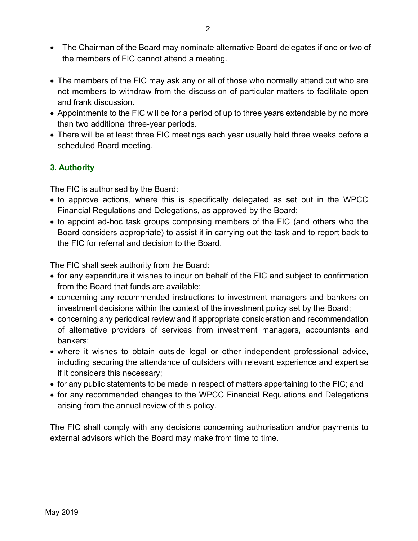- The Chairman of the Board may nominate alternative Board delegates if one or two of the members of FIC cannot attend a meeting.
- The members of the FIC may ask any or all of those who normally attend but who are not members to withdraw from the discussion of particular matters to facilitate open and frank discussion.
- Appointments to the FIC will be for a period of up to three years extendable by no more than two additional three-year periods.
- There will be at least three FIC meetings each year usually held three weeks before a scheduled Board meeting.

### **3. Authority**

The FIC is authorised by the Board:

- to approve actions, where this is specifically delegated as set out in the WPCC Financial Regulations and Delegations, as approved by the Board;
- to appoint ad-hoc task groups comprising members of the FIC (and others who the Board considers appropriate) to assist it in carrying out the task and to report back to the FIC for referral and decision to the Board.

The FIC shall seek authority from the Board:

- for any expenditure it wishes to incur on behalf of the FIC and subject to confirmation from the Board that funds are available;
- concerning any recommended instructions to investment managers and bankers on investment decisions within the context of the investment policy set by the Board;
- concerning any periodical review and if appropriate consideration and recommendation of alternative providers of services from investment managers, accountants and bankers;
- where it wishes to obtain outside legal or other independent professional advice, including securing the attendance of outsiders with relevant experience and expertise if it considers this necessary;
- for any public statements to be made in respect of matters appertaining to the FIC; and
- for any recommended changes to the WPCC Financial Regulations and Delegations arising from the annual review of this policy.

The FIC shall comply with any decisions concerning authorisation and/or payments to external advisors which the Board may make from time to time.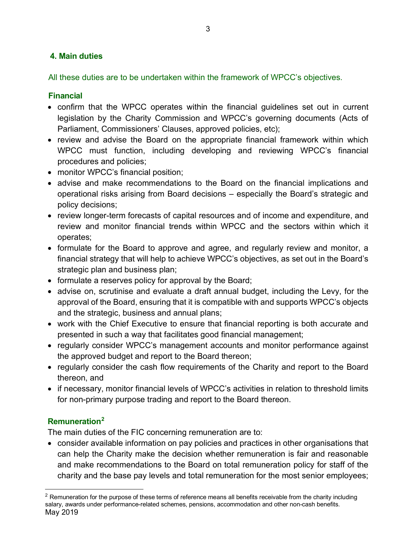## **4. Main duties**

All these duties are to be undertaken within the framework of WPCC's objectives.

#### **Financial**

- confirm that the WPCC operates within the financial guidelines set out in current legislation by the Charity Commission and WPCC's governing documents (Acts of Parliament, Commissioners' Clauses, approved policies, etc);
- review and advise the Board on the appropriate financial framework within which WPCC must function, including developing and reviewing WPCC's financial procedures and policies;
- monitor WPCC's financial position;
- advise and make recommendations to the Board on the financial implications and operational risks arising from Board decisions – especially the Board's strategic and policy decisions;
- review longer-term forecasts of capital resources and of income and expenditure, and review and monitor financial trends within WPCC and the sectors within which it operates;
- formulate for the Board to approve and agree, and regularly review and monitor, a financial strategy that will help to achieve WPCC's objectives, as set out in the Board's strategic plan and business plan;
- formulate a reserves policy for approval by the Board;
- advise on, scrutinise and evaluate a draft annual budget, including the Levy, for the approval of the Board, ensuring that it is compatible with and supports WPCC's objects and the strategic, business and annual plans;
- work with the Chief Executive to ensure that financial reporting is both accurate and presented in such a way that facilitates good financial management;
- regularly consider WPCC's management accounts and monitor performance against the approved budget and report to the Board thereon;
- regularly consider the cash flow requirements of the Charity and report to the Board thereon, and
- if necessary, monitor financial levels of WPCC's activities in relation to threshold limits for non-primary purpose trading and report to the Board thereon.

#### **Remuneration[2](#page-2-0)**

The main duties of the FIC concerning remuneration are to:

• consider available information on pay policies and practices in other organisations that can help the Charity make the decision whether remuneration is fair and reasonable and make recommendations to the Board on total remuneration policy for staff of the charity and the base pay levels and total remuneration for the most senior employees;

<span id="page-2-0"></span>May 2019  $<sup>2</sup>$  Remuneration for the purpose of these terms of reference means all benefits receivable from the charity including</sup> salary, awards under performance-related schemes, pensions, accommodation and other non-cash benefits.